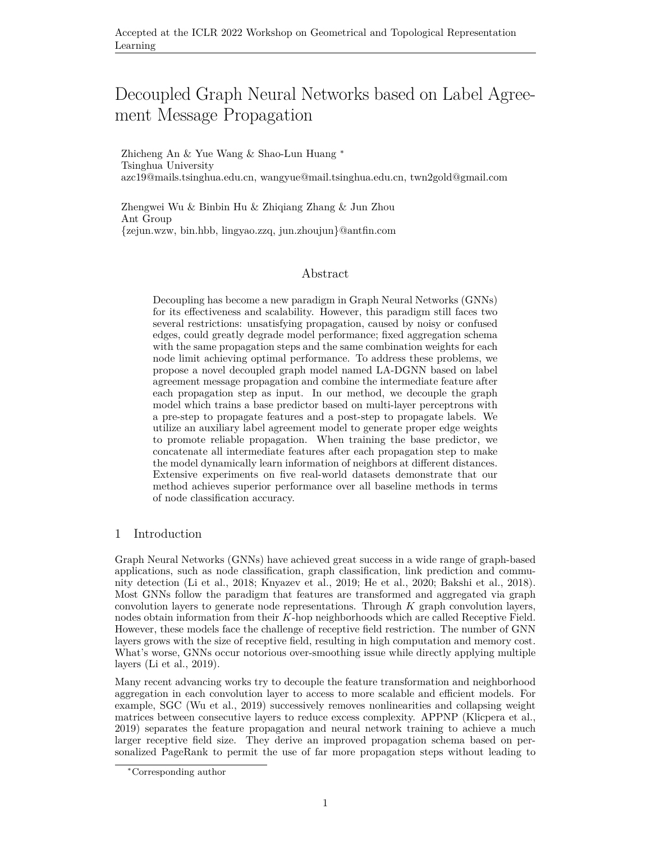# Decoupled Graph Neural Networks based on Label Agreement Message Propagation

Zhicheng An & Yue Wang & Shao-Lun Huang *∗* Tsinghua University azc19@mails.tsinghua.edu.cn, wangyue@mail.tsinghua.edu.cn, twn2gold@gmail.com

Zhengwei Wu & Binbin Hu & Zhiqiang Zhang & Jun Zhou Ant Group {zejun.wzw, bin.hbb, lingyao.zzq, jun.zhoujun}@antfin.com

## Abstract

Decoupling has become a new paradigm in Graph Neural Networks (GNNs) for its effectiveness and scalability. However, this paradigm still faces two several restrictions: unsatisfying propagation, caused by noisy or confused edges, could greatly degrade model performance; fixed aggregation schema with the same propagation steps and the same combination weights for each node limit achieving optimal performance. To address these problems, we propose a novel decoupled graph model named LA-DGNN based on label agreement message propagation and combine the intermediate feature after each propagation step as input. In our method, we decouple the graph model which trains a base predictor based on multi-layer perceptrons with a pre-step to propagate features and a post-step to propagate labels. We utilize an auxiliary label agreement model to generate proper edge weights to promote reliable propagation. When training the base predictor, we concatenate all intermediate features after each propagation step to make the model dynamically learn information of neighbors at different distances. Extensive experiments on five real-world datasets demonstrate that our method achieves superior performance over all baseline methods in terms of node classification accuracy.

#### 1 Introduction

Graph Neural Networks (GNNs) have achieved great success in a wide range of graph-based applications, such as node classification, graph classification, link prediction and community detection ([Li et al.](#page-5-0), [2018;](#page-5-0) [Knyazev et al.](#page-5-1), [2019](#page-5-1); [He et al.](#page-5-2), [2020;](#page-5-2) [Bakshi et al.,](#page-5-3) [2018](#page-5-3)). Most GNNs follow the paradigm that features are transformed and aggregated via graph convolution layers to generate node representations. Through *K* graph convolution layers, nodes obtain information from their *K*-hop neighborhoods which are called Receptive Field. However, these models face the challenge of receptive field restriction. The number of GNN layers grows with the size of receptive field, resulting in high computation and memory cost. What's worse, GNNs occur notorious over-smoothing issue while directly applying multiple layers ([Li et al.](#page-5-4), [2019](#page-5-4)).

Many recent advancing works try to decouple the feature transformation and neighborhood aggregation in each convolution layer to access to more scalable and efficient models. For example, SGC ([Wu et al.](#page-6-0), [2019\)](#page-6-0) successively removes nonlinearities and collapsing weight matrices between consecutive layers to reduce excess complexity. APPNP ([Klicpera et al.](#page-5-5), [2019\)](#page-5-5) separates the feature propagation and neural network training to achieve a much larger receptive field size. They derive an improved propagation schema based on personalized PageRank to permit the use of far more propagation steps without leading to

*<sup>∗</sup>*Corresponding author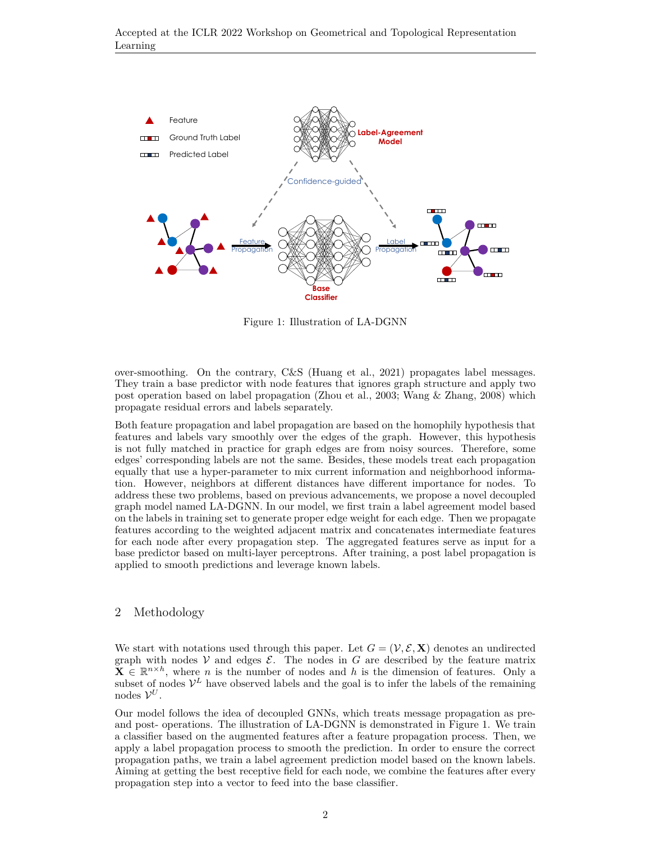

<span id="page-1-0"></span>Figure 1: Illustration of LA-DGNN

over-smoothing. On the contrary, C&S ([Huang et al.,](#page-5-6) [2021](#page-5-6)) propagates label messages. They train a base predictor with node features that ignores graph structure and apply two post operation based on label propagation [\(Zhou et al.](#page-6-1), [2003](#page-6-1); [Wang & Zhang,](#page-6-2) [2008\)](#page-6-2) which propagate residual errors and labels separately.

Both feature propagation and label propagation are based on the homophily hypothesis that features and labels vary smoothly over the edges of the graph. However, this hypothesis is not fully matched in practice for graph edges are from noisy sources. Therefore, some edges' corresponding labels are not the same. Besides, these models treat each propagation equally that use a hyper-parameter to mix current information and neighborhood information. However, neighbors at different distances have different importance for nodes. To address these two problems, based on previous advancements, we propose a novel decoupled graph model named LA-DGNN. In our model, we first train a label agreement model based on the labels in training set to generate proper edge weight for each edge. Then we propagate features according to the weighted adjacent matrix and concatenates intermediate features for each node after every propagation step. The aggregated features serve as input for a base predictor based on multi-layer perceptrons. After training, a post label propagation is applied to smooth predictions and leverage known labels.

## 2 Methodology

We start with notations used through this paper. Let  $G = (\mathcal{V}, \mathcal{E}, \mathbf{X})$  denotes an undirected graph with nodes  $V$  and edges  $E$ . The nodes in  $G$  are described by the feature matrix  $\mathbf{X} \in \mathbb{R}^{n \times h}$ , where *n* is the number of nodes and *h* is the dimension of features. Only a subset of nodes  $V^L$  have observed labels and the goal is to infer the labels of the remaining nodes  $V^U$ .

Our model follows the idea of decoupled GNNs, which treats message propagation as preand post- operations. The illustration of LA-DGNN is demonstrated in Figure [1.](#page-1-0) We train a classifier based on the augmented features after a feature propagation process. Then, we apply a label propagation process to smooth the prediction. In order to ensure the correct propagation paths, we train a label agreement prediction model based on the known labels. Aiming at getting the best receptive field for each node, we combine the features after every propagation step into a vector to feed into the base classifier.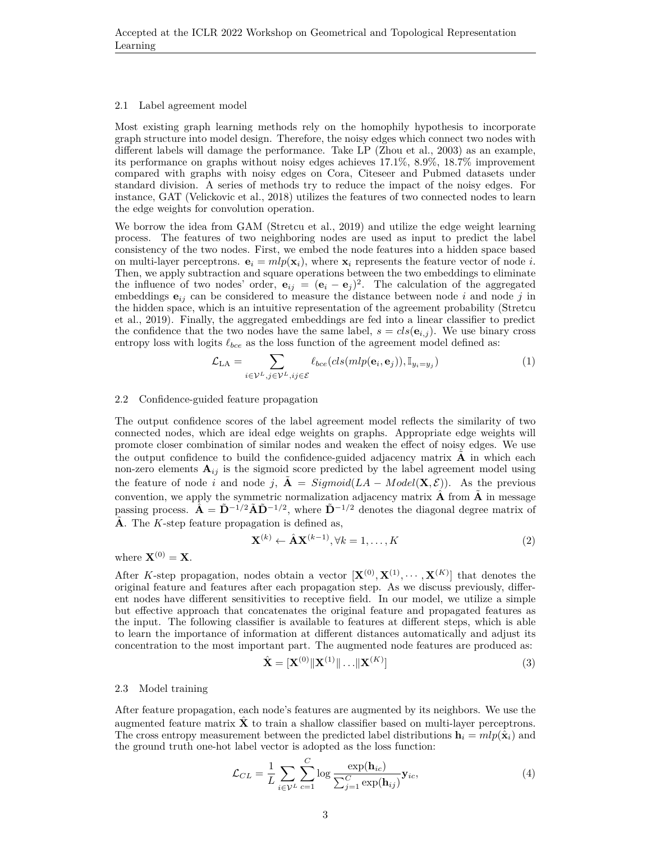#### 2.1 Label agreement model

Most existing graph learning methods rely on the homophily hypothesis to incorporate graph structure into model design. Therefore, the noisy edges which connect two nodes with different labels will damage the performance. Take LP ([Zhou et al.,](#page-6-1) [2003](#page-6-1)) as an example, its performance on graphs without noisy edges achieves 17.1%, 8.9%, 18.7% improvement compared with graphs with noisy edges on Cora, Citeseer and Pubmed datasets under standard division. A series of methods try to reduce the impact of the noisy edges. For instance, GAT [\(Velickovic et al.,](#page-6-3) [2018\)](#page-6-3) utilizes the features of two connected nodes to learn the edge weights for convolution operation.

We borrow the idea from GAM ([Stretcu et al.,](#page-6-4) [2019\)](#page-6-4) and utilize the edge weight learning process. The features of two neighboring nodes are used as input to predict the label consistency of the two nodes. First, we embed the node features into a hidden space based on multi-layer perceptrons.  $\mathbf{e}_i = mlp(\mathbf{x}_i)$ , where  $\mathbf{x}_i$  represents the feature vector of node *i*. Then, we apply subtraction and square operations between the two embeddings to eliminate the influence of two nodes' order,  $\mathbf{e}_{ij} = (\mathbf{e}_i - \mathbf{e}_j)^2$ . The calculation of the aggregated embeddings **e***ij* can be considered to measure the distance between node *i* and node *j* in the hidden space, which is an intuitive representation of the agreement probability [\(Stretcu](#page-6-4) [et al.,](#page-6-4) [2019](#page-6-4)). Finally, the aggregated embeddings are fed into a linear classifier to predict the confidence that the two nodes have the same label,  $s = cls(e_{i,j})$ . We use binary cross entropy loss with logits *ℓbce* as the loss function of the agreement model defined as:

$$
\mathcal{L}_{LA} = \sum_{i \in \mathcal{V}^L, j \in \mathcal{V}^L, ij \in \mathcal{E}} \ell_{bce}(cls(mlp(\mathbf{e}_i, \mathbf{e}_j)), \mathbb{I}_{y_i = y_j})
$$
(1)

#### 2.2 Confidence-guided feature propagation

The output confidence scores of the label agreement model reflects the similarity of two connected nodes, which are ideal edge weights on graphs. Appropriate edge weights will promote closer combination of similar nodes and weaken the effect of noisy edges. We use the output confidence to build the confidence-guided adjacency matrix  $\bf{A}$  in which each non-zero elements  $A_{ij}$  is the sigmoid score predicted by the label agreement model using the feature of node *i* and node *j*,  $A = Sigmoid(LA - Model(X, \mathcal{E}))$ . As the previous convention, we apply the symmetric normalization adjacency matrix  $\hat{A}$  from  $\hat{A}$  in message passing process.  $\hat{\mathbf{A}} = \tilde{\mathbf{D}}^{-1/2} \tilde{\mathbf{A}} \tilde{\mathbf{D}}^{-1/2}$ , where  $\tilde{\mathbf{D}}^{-1/2}$  denotes the diagonal degree matrix of  $\tilde{A}$ . The *K*-step feature propagation is defined as,

$$
\mathbf{X}^{(k)} \leftarrow \hat{\mathbf{A}} \mathbf{X}^{(k-1)}, \forall k = 1, \dots, K
$$
 (2)

where  $\mathbf{X}^{(0)} = \mathbf{X}$ .

After *K*-step propagation, nodes obtain a vector  $[\mathbf{X}^{(0)}, \mathbf{X}^{(1)}, \cdots, \mathbf{X}^{(K)}]$  that denotes the original feature and features after each propagation step. As we discuss previously, different nodes have different sensitivities to receptive field. In our model, we utilize a simple but effective approach that concatenates the original feature and propagated features as the input. The following classifier is available to features at different steps, which is able to learn the importance of information at different distances automatically and adjust its concentration to the most important part. The augmented node features are produced as:

$$
\hat{\mathbf{X}} = [\mathbf{X}^{(0)} || \mathbf{X}^{(1)} || \dots || \mathbf{X}^{(K)}]
$$
\n(3)

#### 2.3 Model training

After feature propagation, each node's features are augmented by its neighbors. We use the augmented feature matrix  $\hat{\mathbf{X}}$  to train a shallow classifier based on multi-layer perceptrons. The cross entropy measurement between the predicted label distributions  $\mathbf{h}_i = mlp(\hat{\mathbf{x}}_i)$  and the ground truth one-hot label vector is adopted as the loss function:

$$
\mathcal{L}_{CL} = \frac{1}{L} \sum_{i \in \mathcal{V}^L} \sum_{c=1}^{C} \log \frac{\exp(\mathbf{h}_{ic})}{\sum_{j=1}^{C} \exp(\mathbf{h}_{ij})} \mathbf{y}_{ic},\tag{4}
$$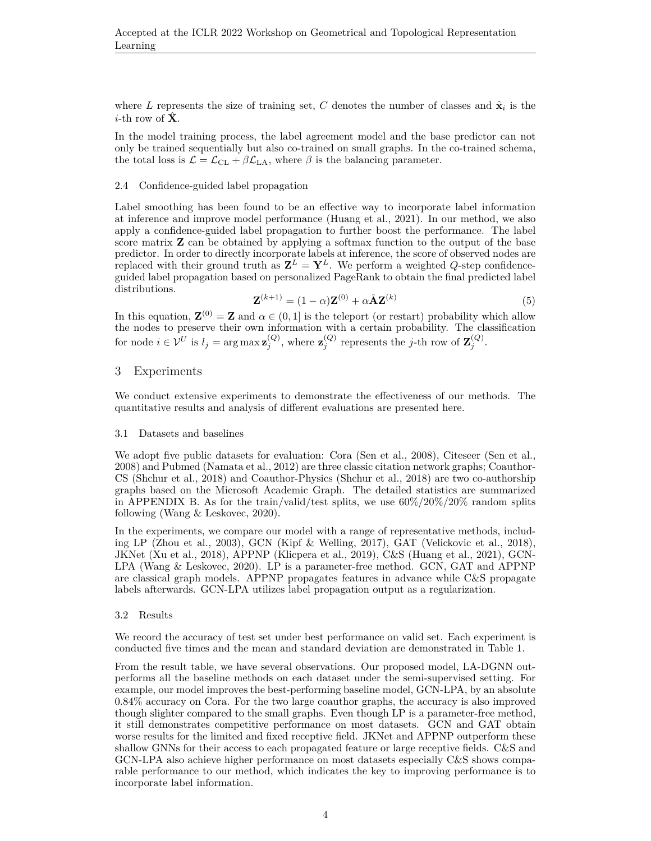where L represents the size of training set, C denotes the number of classes and  $\hat{\mathbf{x}}_i$  is the *i*-th row of  $\hat{\mathbf{X}}$ .

In the model training process, the label agreement model and the base predictor can not only be trained sequentially but also co-trained on small graphs. In the co-trained schema, the total loss is  $\mathcal{L} = \mathcal{L}_{CL} + \beta \mathcal{L}_{LA}$ , where  $\beta$  is the balancing parameter.

#### 2.4 Confidence-guided label propagation

Label smoothing has been found to be an effective way to incorporate label information at inference and improve model performance ([Huang et al.](#page-5-6), [2021](#page-5-6)). In our method, we also apply a confidence-guided label propagation to further boost the performance. The label score matrix **Z** can be obtained by applying a softmax function to the output of the base predictor. In order to directly incorporate labels at inference, the score of observed nodes are replaced with their ground truth as  $\mathbf{Z}^L = \mathbf{Y}^L$ . We perform a weighted *Q*-step confidenceguided label propagation based on personalized PageRank to obtain the final predicted label distributions.

$$
\mathbf{Z}^{(k+1)} = (1 - \alpha)\mathbf{Z}^{(0)} + \alpha \hat{\mathbf{A}} \mathbf{Z}^{(k)}
$$
(5)

In this equation,  $\mathbf{Z}^{(0)} = \mathbf{Z}$  and  $\alpha \in (0,1]$  is the teleport (or restart) probability which allow the nodes to preserve their own information with a certain probability. The classification for node  $i \in \mathcal{V}^U$  is  $l_j = \arg \max_{j} \mathbf{z}_j^{(Q)}$ , where  $\mathbf{z}_j^{(Q)}$  represents the *j*-th row of  $\mathbf{Z}_j^{(Q)}$ .

## 3 Experiments

We conduct extensive experiments to demonstrate the effectiveness of our methods. The quantitative results and analysis of different evaluations are presented here.

#### 3.1 Datasets and baselines

We adopt five public datasets for evaluation: Cora ([Sen et al.](#page-6-5), [2008\)](#page-6-5), Citeseer (Sen et al., [2008\)](#page-6-5) and Pubmed ([Namata et al.,](#page-5-7) [2012](#page-5-7)) are three classic citation network graphs; Coauthor-CS ([Shchur et al.,](#page-6-6) [2018\)](#page-6-6) and Coauthor-Physics [\(Shchur et al.,](#page-6-6) [2018\)](#page-6-6) are two co-authorship graphs based on the Microsoft Academic Graph. The detailed statistics are summarized in APPENDIX [B](#page-7-0). As for the train/valid/test splits, we use  $60\%/20\%/20\%$  random splits following ([Wang & Leskovec](#page-6-7), [2020](#page-6-7)).

In the experiments, we compare our model with a range of representative methods, including LP ([Zhou et al.](#page-6-1), [2003\)](#page-6-1), GCN ([Kipf & Welling,](#page-5-8) [2017](#page-5-8)), GAT [\(Velickovic et al.](#page-6-3), [2018](#page-6-3)), JKNet ([Xu et al.,](#page-6-8) [2018\)](#page-6-8), APPNP [\(Klicpera et al.,](#page-5-5) [2019\)](#page-5-5), C&S ([Huang et al.](#page-5-6), [2021](#page-5-6)), GCN-LPA [\(Wang & Leskovec](#page-6-7), [2020](#page-6-7)). LP is a parameter-free method. GCN, GAT and APPNP are classical graph models. APPNP propagates features in advance while C&S propagate labels afterwards. GCN-LPA utilizes label propagation output as a regularization.

#### 3.2 Results

We record the accuracy of test set under best performance on valid set. Each experiment is conducted five times and the mean and standard deviation are demonstrated in Table [1](#page-4-0).

From the result table, we have several observations. Our proposed model, LA-DGNN outperforms all the baseline methods on each dataset under the semi-supervised setting. For example, our model improves the best-performing baseline model, GCN-LPA, by an absolute 0.84% accuracy on Cora. For the two large coauthor graphs, the accuracy is also improved though slighter compared to the small graphs. Even though LP is a parameter-free method, it still demonstrates competitive performance on most datasets. GCN and GAT obtain worse results for the limited and fixed receptive field. JKNet and APPNP outperform these shallow GNNs for their access to each propagated feature or large receptive fields. C&S and GCN-LPA also achieve higher performance on most datasets especially C&S shows comparable performance to our method, which indicates the key to improving performance is to incorporate label information.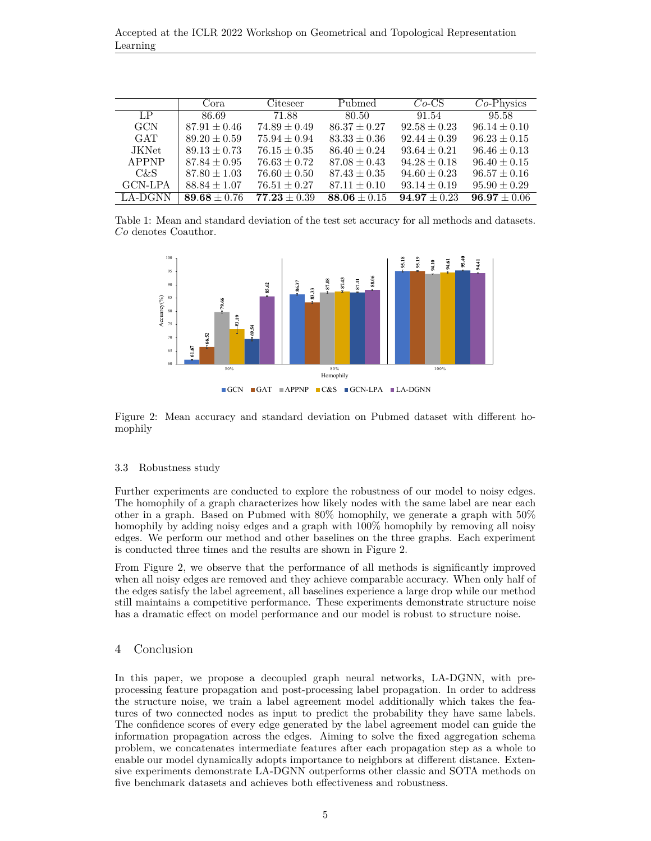Accepted at the ICLR 2022 Workshop on Geometrical and Topological Representation Learning

|             | Cora             | Citeseer         | Pubmed           | $Co\text{-CS}$   | $Co-Physics$     |
|-------------|------------------|------------------|------------------|------------------|------------------|
| $L_{\rm P}$ | 86.69            | 71.88            | 80.50            | 91.54            | 95.58            |
| <b>GCN</b>  | $87.91 \pm 0.46$ | $74.89 \pm 0.49$ | $86.37 \pm 0.27$ | $92.58 \pm 0.23$ | $96.14 \pm 0.10$ |
| <b>GAT</b>  | $89.20 \pm 0.59$ | $75.94 \pm 0.94$ | $83.33 \pm 0.36$ | $92.44 \pm 0.39$ | $96.23 \pm 0.15$ |
| JKNet.      | $89.13 \pm 0.73$ | $76.15 \pm 0.35$ | $86.40 \pm 0.24$ | $93.64 \pm 0.21$ | $96.46 \pm 0.13$ |
| APPNP       | $87.84 \pm 0.95$ | $76.63 \pm 0.72$ | $87.08 \pm 0.43$ | $94.28 \pm 0.18$ | $96.40 \pm 0.15$ |
| C&S         | $87.80 \pm 1.03$ | $76.60 \pm 0.50$ | $87.43 \pm 0.35$ | $94.60 \pm 0.23$ | $96.57 \pm 0.16$ |
| GCN-LPA     | $88.84 \pm 1.07$ | $76.51 \pm 0.27$ | $87.11 \pm 0.10$ | $93.14 \pm 0.19$ | $95.90 \pm 0.29$ |
| LA-DGNN     | $89.68 \pm 0.76$ | $77.23 \pm 0.39$ | $88.06 \pm 0.15$ | $94.97 + 0.23$   | $96.97 \pm 0.06$ |

Table 1: Mean and standard deviation of the test set accuracy for all methods and datasets. *Co* denotes Coauthor.

<span id="page-4-0"></span>

<span id="page-4-1"></span>Figure 2: Mean accuracy and standard deviation on Pubmed dataset with different homophily

#### 3.3 Robustness study

Further experiments are conducted to explore the robustness of our model to noisy edges. The homophily of a graph characterizes how likely nodes with the same label are near each other in a graph. Based on Pubmed with 80% homophily, we generate a graph with 50% homophily by adding noisy edges and a graph with 100% homophily by removing all noisy edges. We perform our method and other baselines on the three graphs. Each experiment is conducted three times and the results are shown in Figure [2.](#page-4-1)

From Figure [2](#page-4-1), we observe that the performance of all methods is significantly improved when all noisy edges are removed and they achieve comparable accuracy. When only half of the edges satisfy the label agreement, all baselines experience a large drop while our method still maintains a competitive performance. These experiments demonstrate structure noise has a dramatic effect on model performance and our model is robust to structure noise.

## 4 Conclusion

In this paper, we propose a decoupled graph neural networks, LA-DGNN, with preprocessing feature propagation and post-processing label propagation. In order to address the structure noise, we train a label agreement model additionally which takes the features of two connected nodes as input to predict the probability they have same labels. The confidence scores of every edge generated by the label agreement model can guide the information propagation across the edges. Aiming to solve the fixed aggregation schema problem, we concatenates intermediate features after each propagation step as a whole to enable our model dynamically adopts importance to neighbors at different distance. Extensive experiments demonstrate LA-DGNN outperforms other classic and SOTA methods on five benchmark datasets and achieves both effectiveness and robustness.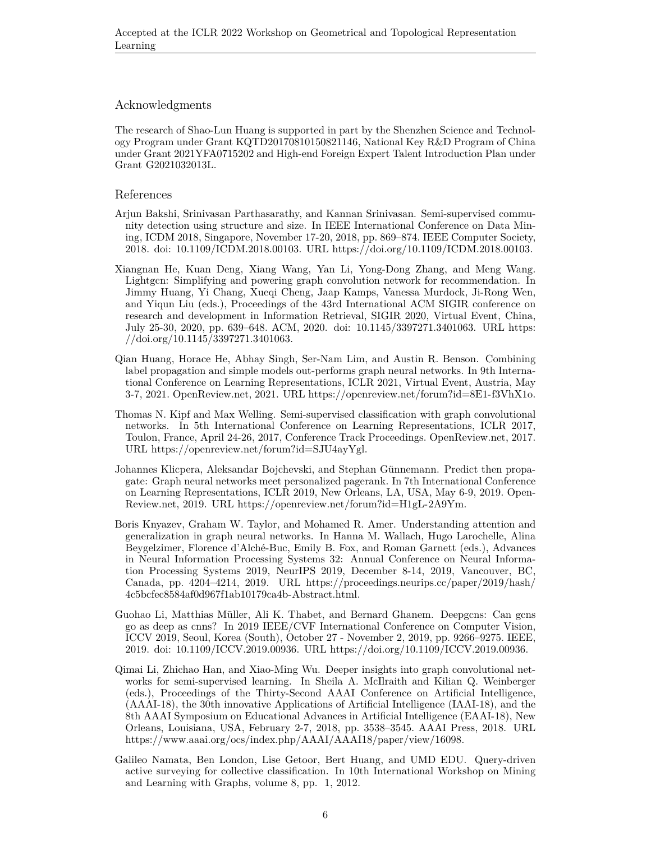## Acknowledgments

The research of Shao-Lun Huang is supported in part by the Shenzhen Science and Technology Program under Grant KQTD20170810150821146, National Key R&D Program of China under Grant 2021YFA0715202 and High-end Foreign Expert Talent Introduction Plan under Grant G2021032013L.

#### References

- <span id="page-5-3"></span>Arjun Bakshi, Srinivasan Parthasarathy, and Kannan Srinivasan. Semi-supervised community detection using structure and size. In IEEE International Conference on Data Mining, ICDM 2018, Singapore, November 17-20, 2018, pp. 869–874. IEEE Computer Society, 2018. doi: 10.1109/ICDM.2018.00103. URL [https://doi.org/10.1109/ICDM.2018.00103.](https://doi.org/10.1109/ICDM.2018.00103)
- <span id="page-5-2"></span>Xiangnan He, Kuan Deng, Xiang Wang, Yan Li, Yong-Dong Zhang, and Meng Wang. Lightgcn: Simplifying and powering graph convolution network for recommendation. In Jimmy Huang, Yi Chang, Xueqi Cheng, Jaap Kamps, Vanessa Murdock, Ji-Rong Wen, and Yiqun Liu (eds.), Proceedings of the 43rd International ACM SIGIR conference on research and development in Information Retrieval, SIGIR 2020, Virtual Event, China, July 25-30, 2020, pp. 639–648. ACM, 2020. doi: 10.1145/3397271.3401063. URL [https:](https://doi.org/10.1145/3397271.3401063) [//doi.org/10.1145/3397271.3401063.](https://doi.org/10.1145/3397271.3401063)
- <span id="page-5-6"></span>Qian Huang, Horace He, Abhay Singh, Ser-Nam Lim, and Austin R. Benson. Combining label propagation and simple models out-performs graph neural networks. In 9th International Conference on Learning Representations, ICLR 2021, Virtual Event, Austria, May 3-7, 2021. OpenReview.net, 2021. URL <https://openreview.net/forum?id=8E1-f3VhX1o>.
- <span id="page-5-8"></span>Thomas N. Kipf and Max Welling. Semi-supervised classification with graph convolutional networks. In 5th International Conference on Learning Representations, ICLR 2017, Toulon, France, April 24-26, 2017, Conference Track Proceedings. OpenReview.net, 2017. URL [https://openreview.net/forum?id=SJU4ayYgl.](https://openreview.net/forum?id=SJU4ayYgl)
- <span id="page-5-5"></span>Johannes Klicpera, Aleksandar Bojchevski, and Stephan Günnemann. Predict then propagate: Graph neural networks meet personalized pagerank. In 7th International Conference on Learning Representations, ICLR 2019, New Orleans, LA, USA, May 6-9, 2019. Open-Review.net, 2019. URL <https://openreview.net/forum?id=H1gL-2A9Ym>.
- <span id="page-5-1"></span>Boris Knyazev, Graham W. Taylor, and Mohamed R. Amer. Understanding attention and generalization in graph neural networks. In Hanna M. Wallach, Hugo Larochelle, Alina Beygelzimer, Florence d'Alché-Buc, Emily B. Fox, and Roman Garnett (eds.), Advances in Neural Information Processing Systems 32: Annual Conference on Neural Information Processing Systems 2019, NeurIPS 2019, December 8-14, 2019, Vancouver, BC, Canada, pp. 4204–4214, 2019. URL [https://proceedings.neurips.cc/paper/2019/hash/](https://proceedings.neurips.cc/paper/2019/hash/4c5bcfec8584af0d967f1ab10179ca4b-Abstract.html) [4c5bcfec8584af0d967f1ab10179ca4b-Abstract.html](https://proceedings.neurips.cc/paper/2019/hash/4c5bcfec8584af0d967f1ab10179ca4b-Abstract.html).
- <span id="page-5-4"></span>Guohao Li, Matthias Müller, Ali K. Thabet, and Bernard Ghanem. Deepgcns: Can gcns go as deep as cnns? In 2019 IEEE/CVF International Conference on Computer Vision, ICCV 2019, Seoul, Korea (South), October 27 - November 2, 2019, pp. 9266–9275. IEEE, 2019. doi: 10.1109/ICCV.2019.00936. URL <https://doi.org/10.1109/ICCV.2019.00936>.
- <span id="page-5-0"></span>Qimai Li, Zhichao Han, and Xiao-Ming Wu. Deeper insights into graph convolutional networks for semi-supervised learning. In Sheila A. McIlraith and Kilian Q. Weinberger (eds.), Proceedings of the Thirty-Second AAAI Conference on Artificial Intelligence, (AAAI-18), the 30th innovative Applications of Artificial Intelligence (IAAI-18), and the 8th AAAI Symposium on Educational Advances in Artificial Intelligence (EAAI-18), New Orleans, Louisiana, USA, February 2-7, 2018, pp. 3538–3545. AAAI Press, 2018. URL <https://www.aaai.org/ocs/index.php/AAAI/AAAI18/paper/view/16098>.
- <span id="page-5-7"></span>Galileo Namata, Ben London, Lise Getoor, Bert Huang, and UMD EDU. Query-driven active surveying for collective classification. In 10th International Workshop on Mining and Learning with Graphs, volume 8, pp. 1, 2012.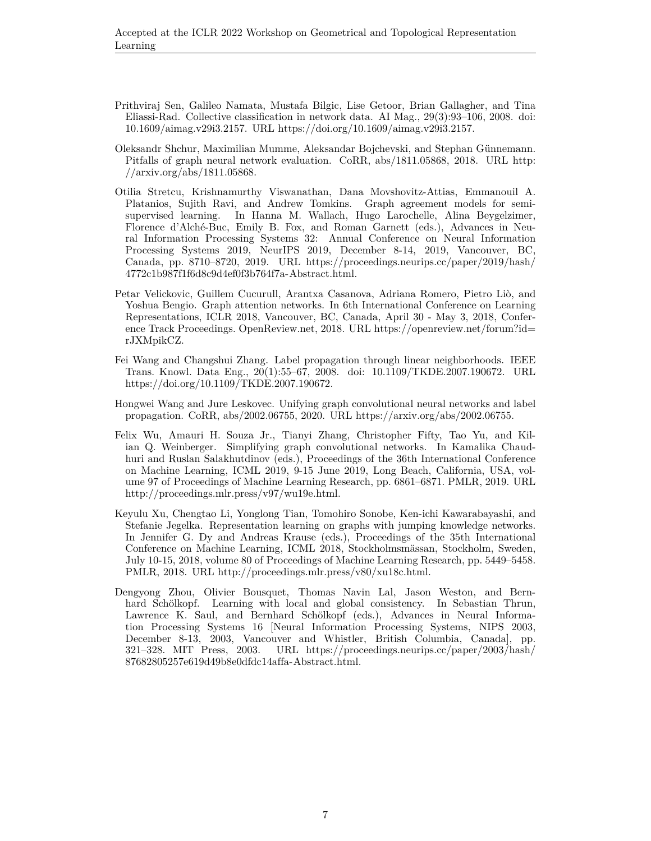- <span id="page-6-5"></span>Prithviraj Sen, Galileo Namata, Mustafa Bilgic, Lise Getoor, Brian Gallagher, and Tina Eliassi-Rad. Collective classification in network data. AI Mag., 29(3):93–106, 2008. doi: 10.1609/aimag.v29i3.2157. URL <https://doi.org/10.1609/aimag.v29i3.2157>.
- <span id="page-6-6"></span>Oleksandr Shchur, Maximilian Mumme, Aleksandar Bojchevski, and Stephan Günnemann. Pitfalls of graph neural network evaluation. CoRR, abs/1811.05868, 2018. URL [http:](http://arxiv.org/abs/1811.05868) [//arxiv.org/abs/1811.05868.](http://arxiv.org/abs/1811.05868)
- <span id="page-6-4"></span>Otilia Stretcu, Krishnamurthy Viswanathan, Dana Movshovitz-Attias, Emmanouil A. Platanios, Sujith Ravi, and Andrew Tomkins. Graph agreement models for semisupervised learning. In Hanna M. Wallach, Hugo Larochelle, Alina Beygelzimer, Florence d'Alché-Buc, Emily B. Fox, and Roman Garnett (eds.), Advances in Neural Information Processing Systems 32: Annual Conference on Neural Information Processing Systems 2019, NeurIPS 2019, December 8-14, 2019, Vancouver, BC, Canada, pp. 8710–8720, 2019. URL [https://proceedings.neurips.cc/paper/2019/hash/](https://proceedings.neurips.cc/paper/2019/hash/4772c1b987f1f6d8c9d4ef0f3b764f7a-Abstract.html) [4772c1b987f1f6d8c9d4ef0f3b764f7a-Abstract.html](https://proceedings.neurips.cc/paper/2019/hash/4772c1b987f1f6d8c9d4ef0f3b764f7a-Abstract.html).
- <span id="page-6-3"></span>Petar Velickovic, Guillem Cucurull, Arantxa Casanova, Adriana Romero, Pietro Liò, and Yoshua Bengio. Graph attention networks. In 6th International Conference on Learning Representations, ICLR 2018, Vancouver, BC, Canada, April 30 - May 3, 2018, Conference Track Proceedings. OpenReview.net, 2018. URL [https://openreview.net/forum?id=](https://openreview.net/forum?id=rJXMpikCZ) [rJXMpikCZ](https://openreview.net/forum?id=rJXMpikCZ).
- <span id="page-6-2"></span>Fei Wang and Changshui Zhang. Label propagation through linear neighborhoods. IEEE Trans. Knowl. Data Eng., 20(1):55–67, 2008. doi: 10.1109/TKDE.2007.190672. URL [https://doi.org/10.1109/TKDE.2007.190672.](https://doi.org/10.1109/TKDE.2007.190672)
- <span id="page-6-7"></span>Hongwei Wang and Jure Leskovec. Unifying graph convolutional neural networks and label propagation. CoRR, abs/2002.06755, 2020. URL <https://arxiv.org/abs/2002.06755>.
- <span id="page-6-0"></span>Felix Wu, Amauri H. Souza Jr., Tianyi Zhang, Christopher Fifty, Tao Yu, and Kilian Q. Weinberger. Simplifying graph convolutional networks. In Kamalika Chaudhuri and Ruslan Salakhutdinov (eds.), Proceedings of the 36th International Conference on Machine Learning, ICML 2019, 9-15 June 2019, Long Beach, California, USA, volume 97 of Proceedings of Machine Learning Research, pp. 6861–6871. PMLR, 2019. URL [http://proceedings.mlr.press/v97/wu19e.html.](http://proceedings.mlr.press/v97/wu19e.html)
- <span id="page-6-8"></span>Keyulu Xu, Chengtao Li, Yonglong Tian, Tomohiro Sonobe, Ken-ichi Kawarabayashi, and Stefanie Jegelka. Representation learning on graphs with jumping knowledge networks. In Jennifer G. Dy and Andreas Krause (eds.), Proceedings of the 35th International Conference on Machine Learning, ICML 2018, Stockholmsmässan, Stockholm, Sweden, July 10-15, 2018, volume 80 of Proceedings of Machine Learning Research, pp. 5449–5458. PMLR, 2018. URL [http://proceedings.mlr.press/v80/xu18c.html.](http://proceedings.mlr.press/v80/xu18c.html)
- <span id="page-6-1"></span>Dengyong Zhou, Olivier Bousquet, Thomas Navin Lal, Jason Weston, and Bernhard Schölkopf. Learning with local and global consistency. In Sebastian Thrun, Lawrence K. Saul, and Bernhard Schölkopf (eds.), Advances in Neural Information Processing Systems 16 [Neural Information Processing Systems, NIPS 2003, December 8-13, 2003, Vancouver and Whistler, British Columbia, Canada], pp. 321–328. MIT Press, 2003. URL [https://proceedings.neurips.cc/paper/2003/hash/](https://proceedings.neurips.cc/paper/2003/hash/87682805257e619d49b8e0dfdc14affa-Abstract.html) [87682805257e619d49b8e0dfdc14affa-Abstract.html](https://proceedings.neurips.cc/paper/2003/hash/87682805257e619d49b8e0dfdc14affa-Abstract.html).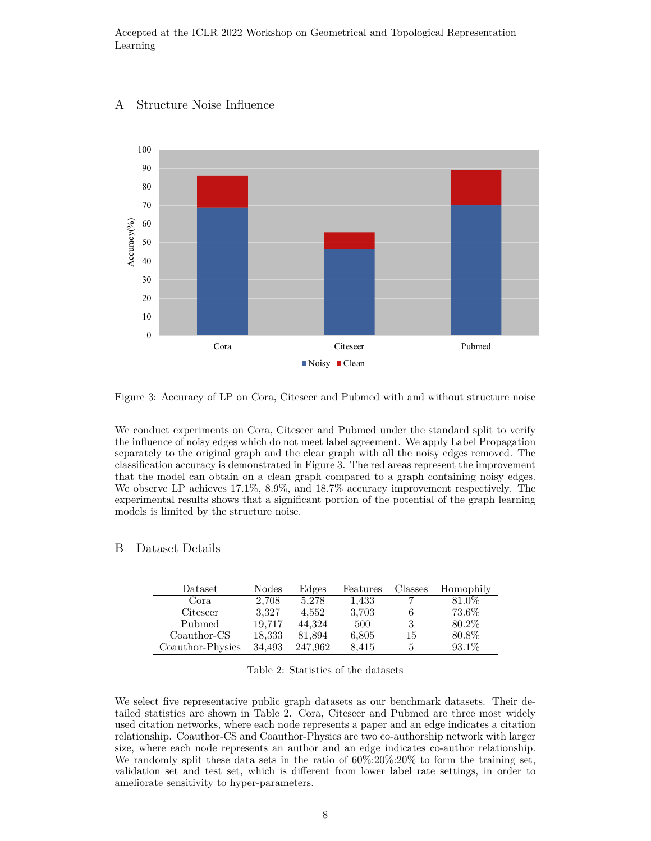# A Structure Noise Influence



<span id="page-7-1"></span>Figure 3: Accuracy of LP on Cora, Citeseer and Pubmed with and without structure noise

We conduct experiments on Cora, Citeseer and Pubmed under the standard split to verify the influence of noisy edges which do not meet label agreement. We apply Label Propagation separately to the original graph and the clear graph with all the noisy edges removed. The classification accuracy is demonstrated in Figure [3](#page-7-1). The red areas represent the improvement that the model can obtain on a clean graph compared to a graph containing noisy edges. We observe LP achieves 17.1%, 8.9%, and 18.7% accuracy improvement respectively. The experimental results shows that a significant portion of the potential of the graph learning models is limited by the structure noise.

## <span id="page-7-0"></span>B Dataset Details

| Dataset          | Nodes  | Edges   | Features | Classes | Homophily |
|------------------|--------|---------|----------|---------|-----------|
| Cora.            | 2,708  | 5.278   | 1,433    |         | 81.0%     |
| Citeseer         | 3,327  | 4.552   | 3,703    | 6       | 73.6%     |
| Pubmed           | 19.717 | 44.324  | 500      | 3       | 80.2%     |
| Coauthor-CS      | 18,333 | 81,894  | 6,805    | 15      | 80.8%     |
| Coauthor-Physics | 34.493 | 247.962 | 8,415    | 5       | 93.1\%    |

<span id="page-7-2"></span>Table 2: Statistics of the datasets

We select five representative public graph datasets as our benchmark datasets. Their detailed statistics are shown in Table [2.](#page-7-2) Cora, Citeseer and Pubmed are three most widely used citation networks, where each node represents a paper and an edge indicates a citation relationship. Coauthor-CS and Coauthor-Physics are two co-authorship network with larger size, where each node represents an author and an edge indicates co-author relationship. We randomly split these data sets in the ratio of  $60\%:20\%:20\%$  to form the training set, validation set and test set, which is different from lower label rate settings, in order to ameliorate sensitivity to hyper-parameters.